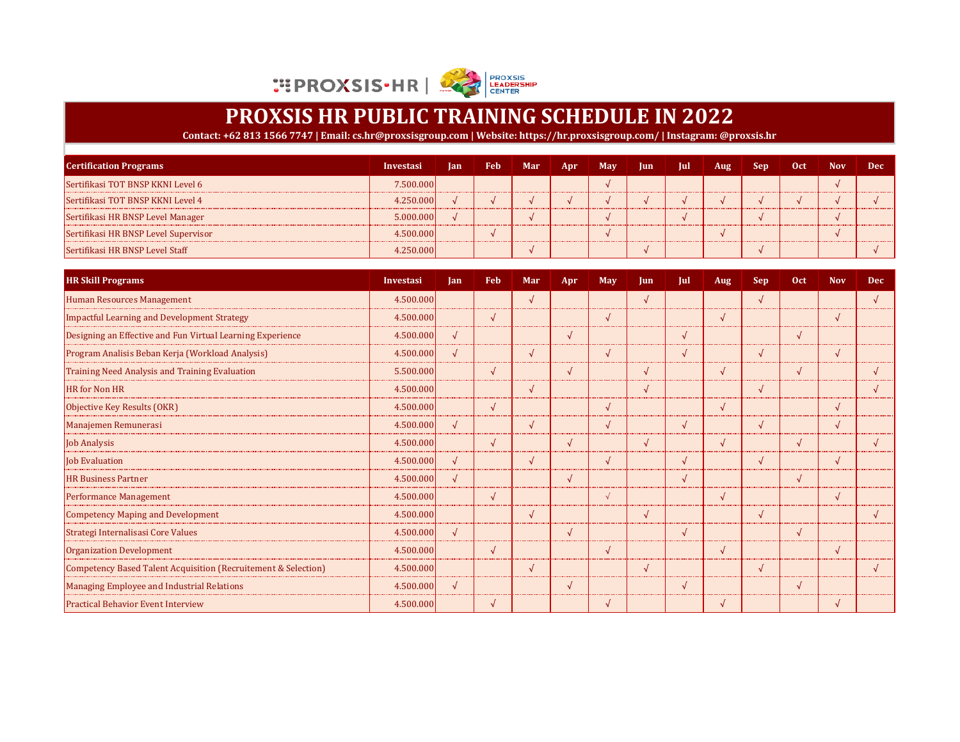

| <b>Certification Programs</b>        | Investasi | Jan Feb | Mar | Apr | May Jun Jul | Aug | Sep. | Oct | <b>Nov</b> | <b>Dec</b> |
|--------------------------------------|-----------|---------|-----|-----|-------------|-----|------|-----|------------|------------|
| Sertifikasi TOT BNSP KKNI Level 6    | 7.500.000 |         |     |     |             |     |      |     |            |            |
| Sertifikasi TOT BNSP KKNI Level 4    | 4.250.000 |         |     |     |             |     |      |     |            |            |
| Sertifikasi HR BNSP Level Manager    | 5.000.000 |         |     |     |             |     |      |     |            |            |
| Sertifikasi HR BNSP Level Supervisor | 4.500.000 |         |     |     |             |     |      |     |            |            |
| Sertifikasi HR BNSP Level Staff      | 4.250.000 |         |     |     |             |     |      |     |            |            |

| <b>HR Skill Programs</b>                                       | <b>Investasi</b> | <b>Ian</b> | <b>Feb</b> | Mar        | Apr        | May        | <b>Jun</b> | Jul        | <b>Aug</b> | <b>Sep</b> | Oct        | <b>Nov</b> | <b>Dec</b> |
|----------------------------------------------------------------|------------------|------------|------------|------------|------------|------------|------------|------------|------------|------------|------------|------------|------------|
| Human Resources Management                                     | 4.500.000        |            |            | $\sqrt{}$  |            |            | $\sqrt{ }$ |            |            | $\sqrt{ }$ |            |            |            |
| <b>Impactful Learning and Development Strategy</b>             | 4.500.000        |            | $\sqrt{ }$ |            |            |            |            |            | $\sqrt{ }$ |            |            |            |            |
| Designing an Effective and Fun Virtual Learning Experience     | 4.500.000        | $\sqrt{ }$ |            |            |            |            |            | $\Delta$   |            |            | √          |            |            |
| Program Analisis Beban Kerja (Workload Analysis)               | 4.500.000        | $\sqrt{2}$ |            | $\sqrt{ }$ |            | $\sqrt{ }$ |            | $\sqrt{ }$ |            | $\sqrt{ }$ |            | $\sqrt{ }$ |            |
| Training Need Analysis and Training Evaluation                 | 5.500.000        |            | $\sqrt{ }$ |            | $\sqrt{ }$ |            | $\sqrt{ }$ |            | $\sqrt{ }$ |            | √          |            |            |
| <b>HR</b> for Non HR                                           | 4.500.000        |            |            | $\sqrt{ }$ |            |            | $\sqrt{ }$ |            |            | $\sqrt{2}$ |            |            |            |
| Objective Key Results (OKR)                                    | 4.500.000        |            | $\sqrt{ }$ |            |            | $\sqrt{ }$ |            |            | $\sqrt{ }$ |            |            | $\sqrt{ }$ |            |
| Manajemen Remunerasi                                           | 4.500.000        | $\sqrt{ }$ |            | $\sqrt{ }$ |            | $\sqrt{ }$ |            | $\sqrt{ }$ |            | $\sqrt{ }$ |            | $\sqrt{ }$ |            |
| <b>Job Analysis</b>                                            | 4.500.000        |            | $\sqrt{ }$ |            | $\sqrt{ }$ |            | $\sqrt{ }$ |            | $\sqrt{ }$ |            | $\sqrt{ }$ |            |            |
| <b>Job Evaluation</b>                                          | 4.500.000        | $\sqrt{ }$ |            | $\sqrt{ }$ |            | $\sqrt{ }$ |            | $\sqrt{ }$ |            | $\sqrt{ }$ |            | $\sqrt{ }$ |            |
| <b>HR Business Partner</b>                                     | 4.500.000        | $\sqrt{ }$ |            |            | $\sqrt{ }$ |            |            | $\lambda$  |            |            | √          |            |            |
| <b>Performance Management</b>                                  | 4.500.000        |            | $\sqrt{ }$ |            |            |            |            |            |            |            |            |            |            |
| <b>Competency Maping and Development</b>                       | 4.500.000        |            |            |            |            |            | $\sqrt{ }$ |            |            | $\sqrt{ }$ |            |            |            |
| Strategi Internalisasi Core Values                             | 4.500.000        | $\sqrt{ }$ |            |            | $\sqrt{ }$ |            |            |            |            |            | J          |            |            |
| <b>Organization Development</b>                                | 4.500.000        |            | $\sqrt{ }$ |            |            |            |            |            |            |            |            |            |            |
| Competency Based Talent Acquisition (Recruitement & Selection) | 4.500.000        |            |            | N          |            |            | √          |            |            | $\sqrt{ }$ |            |            |            |
| <b>Managing Employee and Industrial Relations</b>              | 4.500.000        | $\sqrt{ }$ |            |            |            |            |            |            |            |            | √          |            |            |
| <b>Practical Behavior Event Interview</b>                      | 4.500.000        |            | $\sqrt{ }$ |            |            |            |            |            |            |            |            |            |            |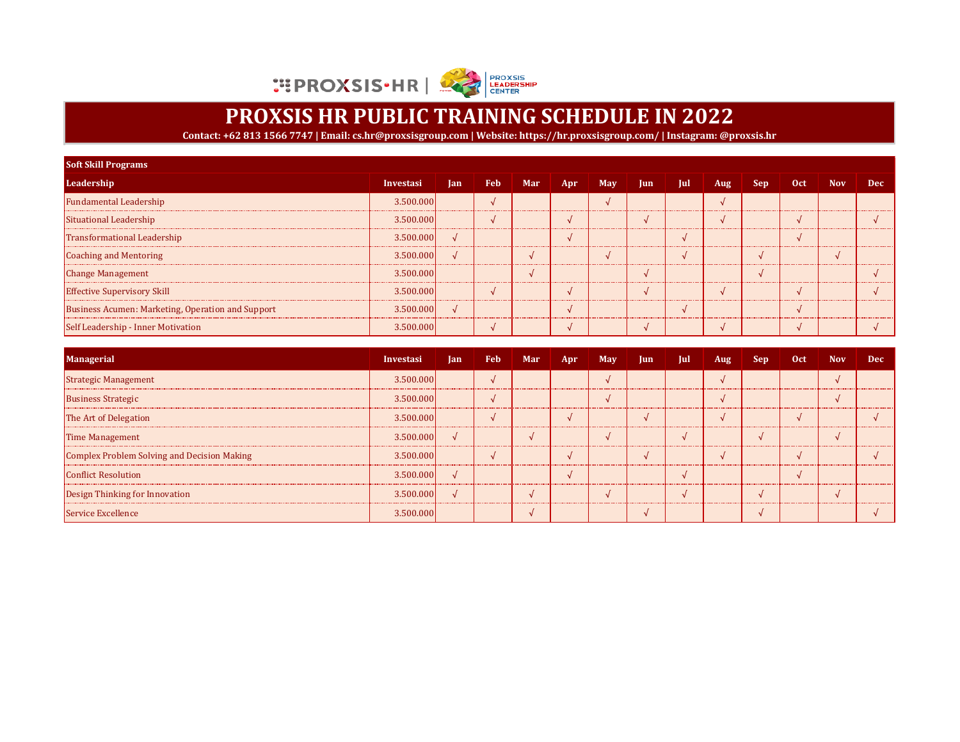

| <b>Soft Skill Programs</b>                        |           |            |     |     |     |     |     |     |            |     |     |            |            |
|---------------------------------------------------|-----------|------------|-----|-----|-----|-----|-----|-----|------------|-----|-----|------------|------------|
| Leadership                                        | Investasi | <b>Jan</b> | Feb | Mar | Apr | Max | Jun | Jul | <b>Aug</b> | Sep | Oct | <b>Nov</b> | <b>Dec</b> |
| <b>Fundamental Leadership</b>                     | 3.500.000 |            |     |     |     |     |     |     |            |     |     |            |            |
| Situational Leadership                            | 3.500.000 |            |     |     |     |     |     |     |            |     |     |            |            |
| Transformational Leadership                       | 3.500.000 |            |     |     |     |     |     |     |            |     |     |            |            |
| Coaching and Mentoring                            | 3.500.000 |            |     |     |     |     |     |     |            |     |     |            |            |
| <b>Change Management</b>                          | 3.500.000 |            |     |     |     |     |     |     |            |     |     |            |            |
| <b>Effective Supervisory Skill</b>                | 3.500.000 |            |     |     |     |     |     |     |            |     |     |            |            |
| Business Acumen: Marketing, Operation and Support | 3.500.000 |            |     |     |     |     |     |     |            |     |     |            |            |
| Self Leadership - Inner Motivation                | 3.500.000 |            |     |     |     |     |     |     |            |     |     |            |            |

| <b>Managerial</b>                           | Investasi | <b>Jan</b> | Feb | Mar | Apr | May | Jun. | Jul | Aug | Sep | 0ct | <b>Nov</b> | Dec |
|---------------------------------------------|-----------|------------|-----|-----|-----|-----|------|-----|-----|-----|-----|------------|-----|
| Strategic Management                        | 3.500.000 |            |     |     |     |     |      |     |     |     |     |            |     |
| <b>Business Strategic</b>                   | 3.500.000 |            |     |     |     |     |      |     |     |     |     |            |     |
| The Art of Delegation                       | 3.500.000 |            |     |     |     |     |      |     |     |     |     |            |     |
| <b>Time Management</b>                      | 3.500.000 | $\sqrt{ }$ |     |     |     |     |      |     |     |     |     |            |     |
| Complex Problem Solving and Decision Making | 3.500.000 |            |     |     |     |     |      |     |     |     |     |            |     |
| <b>Conflict Resolution</b>                  | 3.500.000 |            |     |     |     |     |      |     |     |     |     |            |     |
| Design Thinking for Innovation              | 3.500.000 |            |     |     |     |     |      |     |     |     |     |            |     |
| Service Excellence                          | 3.500.000 |            |     |     |     |     |      |     |     |     |     |            |     |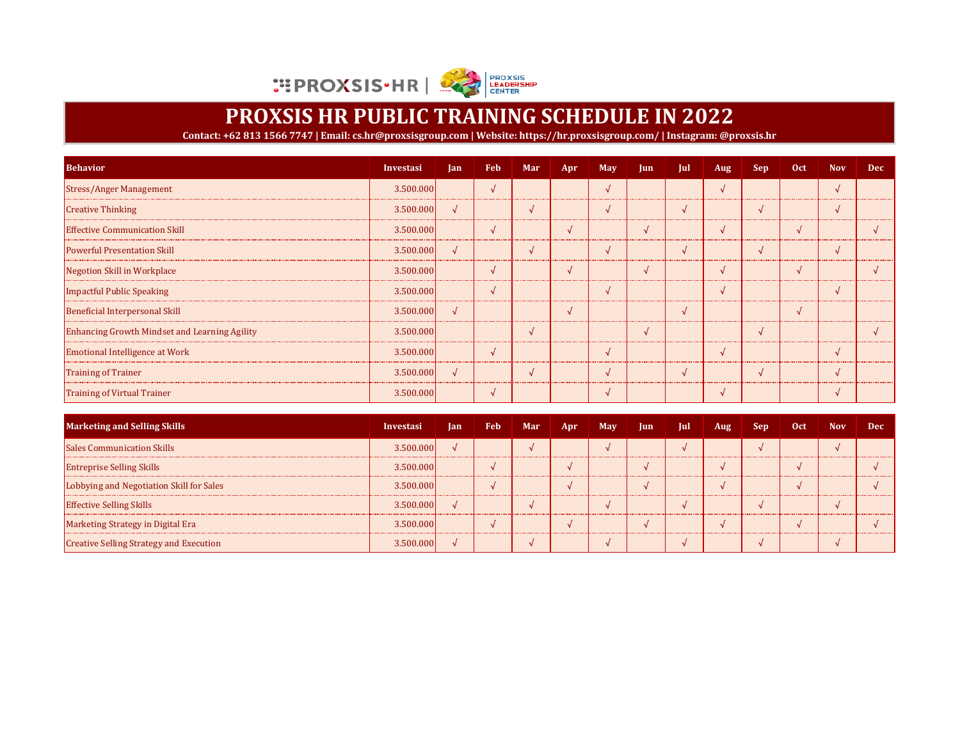

| <b>Behavior</b>                               | Investasi | <b>lan</b> | <b>Feb</b>    | Mar | Apr | May | $\mathbf{u}$ | Jul | Aug | <b>Sep</b> | 0ct | <b>Nov</b> | <b>Dec</b> |
|-----------------------------------------------|-----------|------------|---------------|-----|-----|-----|--------------|-----|-----|------------|-----|------------|------------|
| <b>Stress/Anger Management</b>                | 3.500.000 |            | $\mathcal{A}$ |     |     |     |              |     |     |            |     |            |            |
| <b>Creative Thinking</b>                      | 3.500.000 | $\sqrt{ }$ |               |     |     |     |              |     |     |            |     |            |            |
| <b>Effective Communication Skill</b>          | 3.500.000 |            |               |     |     |     |              |     |     |            |     |            |            |
| <b>Powerful Presentation Skill</b>            | 3.500.000 |            |               |     |     |     |              |     |     |            |     |            |            |
| Negotion Skill in Workplace                   | 3.500.000 |            |               |     |     |     |              |     |     |            |     |            |            |
| Impactful Public Speaking                     | 3.500.000 |            |               |     |     |     |              |     |     |            |     |            |            |
| Beneficial Interpersonal Skill                | 3.500.000 |            |               |     |     |     |              |     |     |            |     |            |            |
| Enhancing Growth Mindset and Learning Agility | 3.500.000 |            |               |     |     |     |              |     |     |            |     |            |            |
| <b>Emotional Intelligence at Work</b>         | 3.500.000 |            |               |     |     |     |              |     |     |            |     |            |            |
| <b>Training of Trainer</b>                    | 3.500.000 |            |               |     |     |     |              |     |     |            |     |            |            |
| <b>Training of Virtual Trainer</b>            | 3.500.000 |            |               |     |     |     |              |     |     |            |     |            |            |

| <b>Marketing and Selling Skills</b>            | Investasi | <b>Jan</b> | Feb. | Mar | Apr. | May | $ $ lun | Jul | Aug | <b>Sep</b> | <b>Oct</b> | <b>Nov</b> | Dec |
|------------------------------------------------|-----------|------------|------|-----|------|-----|---------|-----|-----|------------|------------|------------|-----|
| <b>Sales Communication Skills</b>              | 3.500.000 |            |      |     |      |     |         |     |     |            |            |            |     |
| <b>Entreprise Selling Skills</b>               | 3.500.000 |            |      |     |      |     |         |     |     |            |            |            |     |
| Lobbying and Negotiation Skill for Sales       | 3.500.000 |            |      |     |      |     |         |     |     |            |            |            |     |
| <b>Effective Selling Skills</b>                | 3.500.000 |            |      |     |      |     |         |     |     |            |            |            |     |
| Marketing Strategy in Digital Era              | 3.500.000 |            |      |     |      |     |         |     |     |            |            |            |     |
| <b>Creative Selling Strategy and Execution</b> | 3.500.000 |            |      |     |      |     |         |     |     |            |            |            |     |